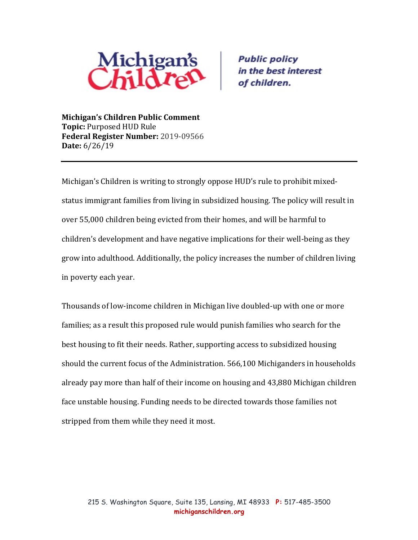

**Public policy** in the best interest of children.

**Michigan's Children Public Comment Topic: Purposed HUD Rule Federal Register Number: 2019-09566 Date:** 6/26/19

Michigan's Children is writing to strongly oppose HUD's rule to prohibit mixedstatus immigrant families from living in subsidized housing. The policy will result in over 55,000 children being evicted from their homes, and will be harmful to children's development and have negative implications for their well-being as they grow into adulthood. Additionally, the policy increases the number of children living in poverty each year.

Thousands of low-income children in Michigan live doubled-up with one or more families; as a result this proposed rule would punish families who search for the best housing to fit their needs. Rather, supporting access to subsidized housing should the current focus of the Administration. 566,100 Michiganders in households already pay more than half of their income on housing and 43,880 Michigan children face unstable housing. Funding needs to be directed towards those families not stripped from them while they need it most.